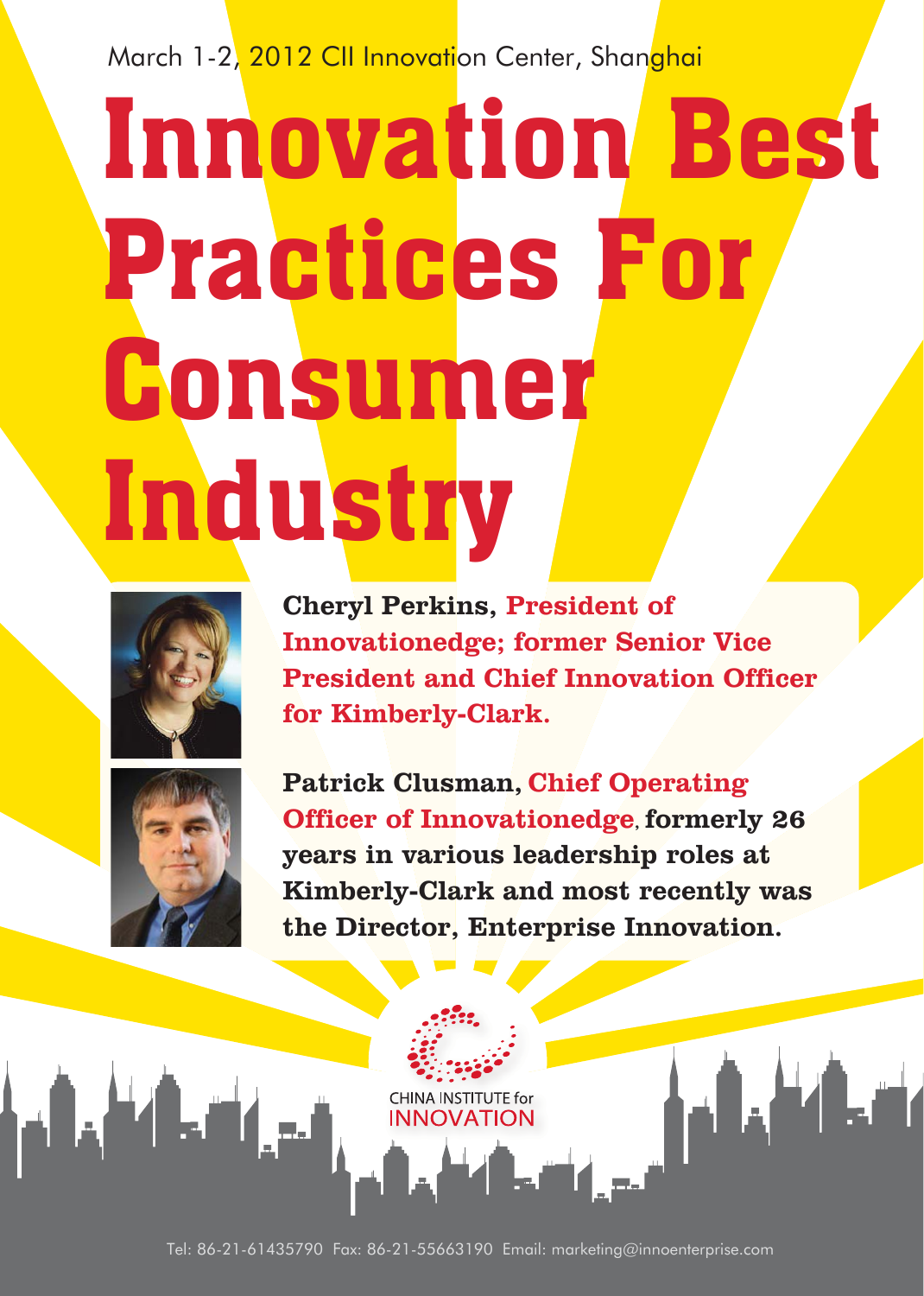March 1-2, 2012 CII Innovation Center, Shanghai

# Innovation Best Practices For Consumer **Industry**



Cheryl Perkins, President of Innovationedge; former Senior Vice President and Chief Innovation Officer for Kimberly-Clark.



 $\blacksquare$ 

Patrick Clusman, Chief Operating Officer of Innovationedge, formerly 26 years in various leadership roles at Kimberly-Clark and most recently was the Director, Enterprise Innovation.

ALTA

Tel: 86-21-61435790 Fax: 86-21-55663190 Email: marketing@innoenterprise.com

**CHINA INSTITUTE for**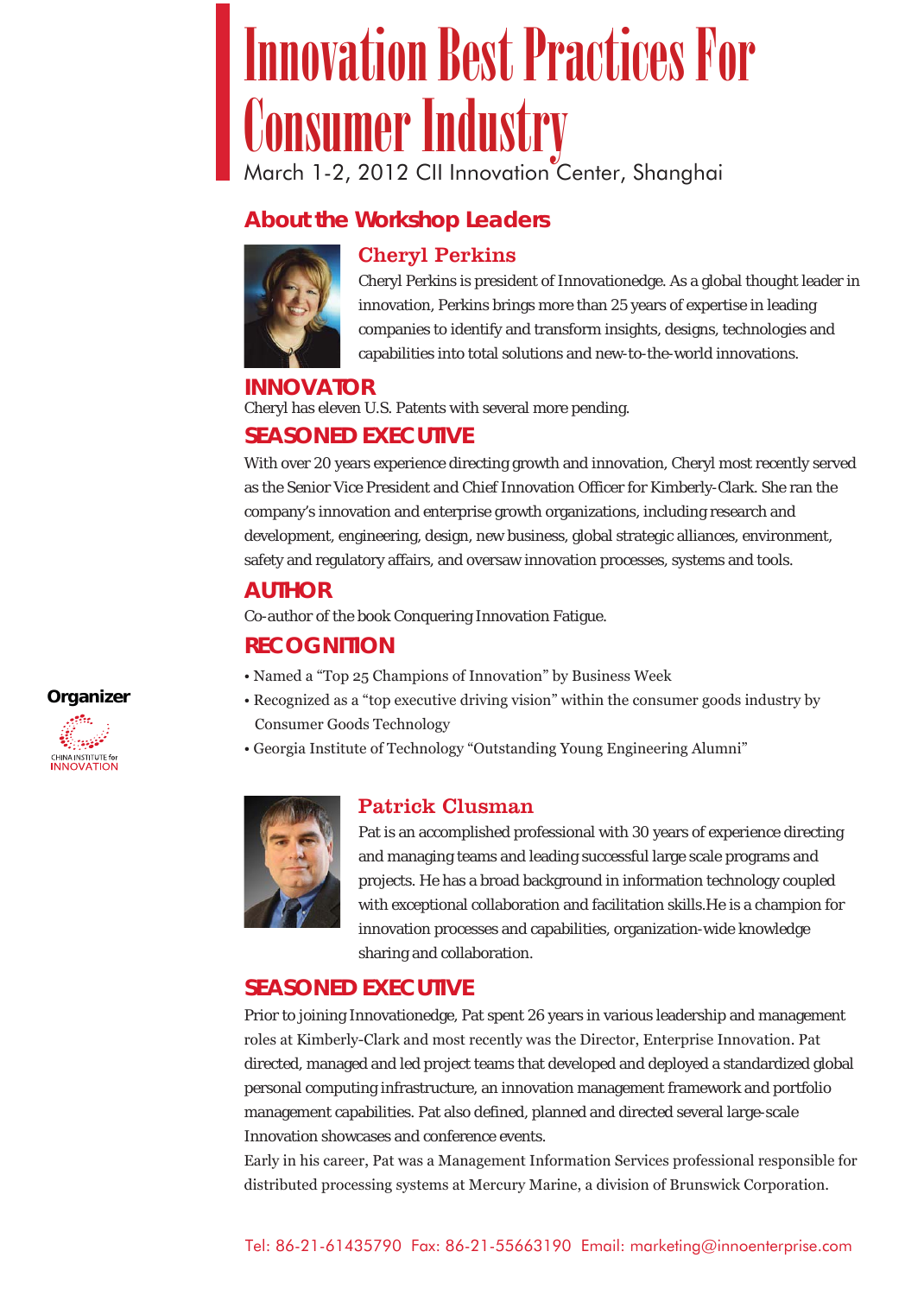## March 1-2, 2012 CII Innovation Center, Shanghai Innovation Best Practices For Consumer Industry

#### **About the Workshop Leaders**





Cheryl Perkins is president of Innovationedge. As a global thought leader in innovation, Perkins brings more than 25 years of expertise in leading companies to identify and transform insights, designs, technologies and capabilities into total solutions and new-to-the-world innovations.

#### **INNOVATOR**

Cheryl has eleven U.S. Patents with several more pending.

#### **SEASONED EXECUTIVE**

With over 20 years experience directing growth and innovation, Cheryl most recently served as the Senior Vice President and Chief Innovation Officer for Kimberly-Clark. She ran the company's innovation and enterprise growth organizations, including research and development, engineering, design, new business, global strategic alliances, environment, safety and regulatory affairs, and oversaw innovation processes, systems and tools.

#### **AUTHOR**

Co-author of the book Conquering Innovation Fatigue.

#### **RECOGNITION**

- Named a "Top 25 Champions of Innovation" by Business Week
- Recognized as a "top executive driving vision" within the consumer goods industry by Consumer Goods Technology
- Georgia Institute of Technology "Outstanding Young Engineering Alumni"



#### Patrick Clusman

Pat is an accomplished professional with 30 years of experience directing and managing teams and leading successful large scale programs and projects. He has a broad background in information technology coupled with exceptional collaboration and facilitation skills.He is a champion for innovation processes and capabilities, organization-wide knowledge sharing and collaboration.

#### **SEASONED EXECUTIVE**

Prior to joining Innovationedge, Pat spent 26 years in various leadership and management roles at Kimberly-Clark and most recently was the Director, Enterprise Innovation. Pat directed, managed and led project teams that developed and deployed a standardized global personal computing infrastructure, an innovation management framework and portfolio management capabilities. Pat also defined, planned and directed several large-scale Innovation showcases and conference events.

Early in his career, Pat was a Management Information Services professional responsible for distributed processing systems at Mercury Marine, a division of Brunswick Corporation.

**Organizer** CHINA INSTITUTE for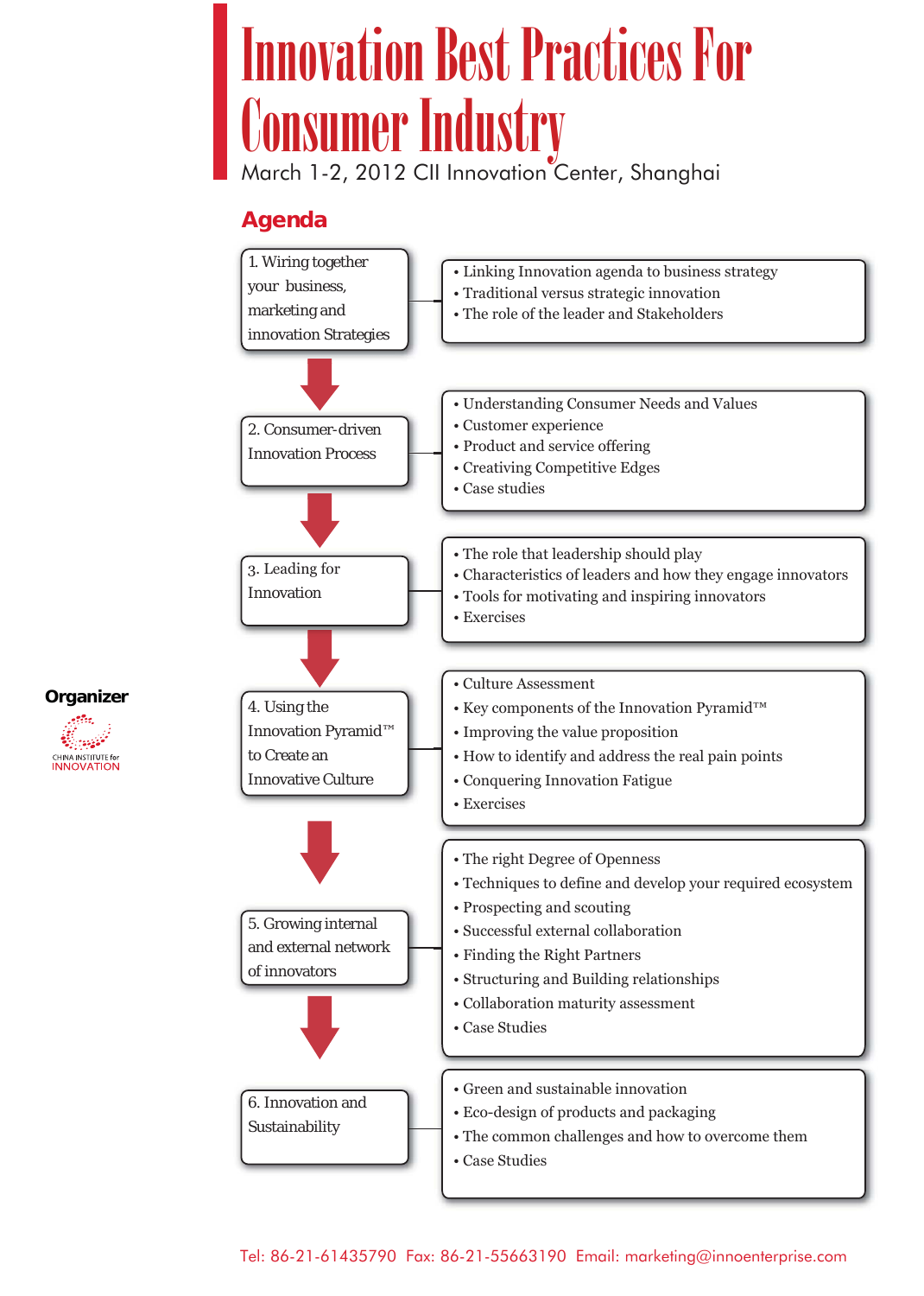# Innovation Best Practices For Consumer Industry

March 1-2, 2012 CII Innovation Center, Shanghai

#### **Agenda**



**Organizer**

**CHINA INSTITUTE for**<br>**INNOVATION**